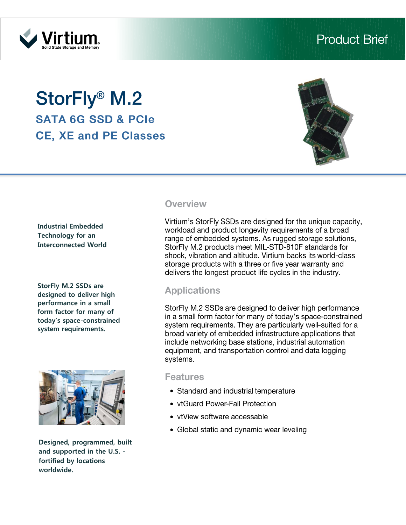# Virtiur

## **StorFly® M.2 SATA 6G SSD & PCIe CE. XE and PE Classes**



#### **Industrial Embedded Technology for an Interconnected World**

**StorFly M.2 SSDs are designed to deliver high performance in a small form factor for many of today's space-constrained system requirements.**



**Designed, programmed, built and supported in the U.S. fortified by locations worldwide.**

#### **Overview**

Virtium's StorFly SSDs are designed for the unique capacity, workload and product longevity requirements of a broad range of embedded systems. As rugged storage solutions, StorFly M.2 products meet MIL-STD-810F standards for shock, vibration and altitude. Virtium backs its world-class storage products with a three or five year warranty and delivers the longest product life cycles in the industry.

#### **Applications**

StorFly M.2 SSDs are designed to deliver high performance in a small form factor for many of today's space-constrained system requirements. They are particularly well-suited for a broad variety of embedded infrastructure applications that include networking base stations, industrial automation equipment, and transportation control and data logging systems.

#### **Features**

- Standard and industrial temperature
- vtGuard Power-Fail Protection
- vtView software accessable
- Global static and dynamic wear leveling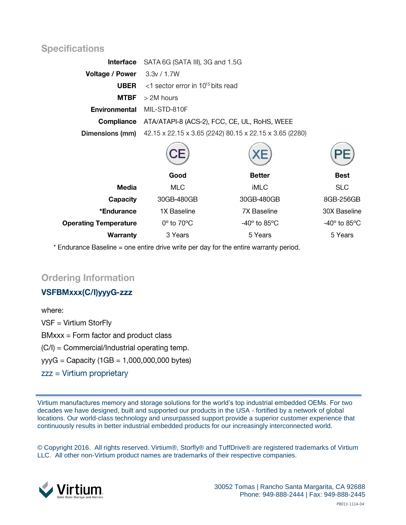#### **Specifications**

|                                   | <b>Interface</b> SATA 6G (SATA III), 3G and 1.5G                                           |        |      |  |
|-----------------------------------|--------------------------------------------------------------------------------------------|--------|------|--|
| Voltage / Power 3.3v / 1.7W       |                                                                                            |        |      |  |
|                                   | <b>UBER</b> $\leq$ 1 sector error in 10 <sup>15</sup> bits read                            |        |      |  |
| <b>MTBF</b>                       | $>$ 2M hours                                                                               |        |      |  |
| <b>Environmental MIL-STD-810F</b> |                                                                                            |        |      |  |
|                                   | <b>Compliance</b> ATA/ATAPI-8 (ACS-2), FCC, CE, UL, RoHS, WEEE                             |        |      |  |
|                                   | <b>Dimensions (mm)</b> $42.15 \times 22.15 \times 3.65$ (2242) 80.15 x 22.15 x 3.65 (2280) |        |      |  |
|                                   |                                                                                            |        |      |  |
|                                   | Good                                                                                       | Better | Best |  |

| <b>Media</b>                 | <b>MLC</b>                | iMLC                          | <b>SLC</b>                    |
|------------------------------|---------------------------|-------------------------------|-------------------------------|
| Capacity                     | 30GB-480GB                | 30GB-480GB                    | 8GB-256GB                     |
| *Endurance                   | 1X Baseline               | 7X Baseline                   | 30X Baseline                  |
| <b>Operating Temperature</b> | $0^\circ$ to $70^\circ C$ | $-40^\circ$ to 85 $\degree$ C | $-40^\circ$ to 85 $\degree$ C |
| Warranty                     | 3 Years                   | 5 Years                       | 5 Years                       |

\* Endurance Baseline = one entire drive write per day for the entire warranty period.

#### **Ordering Information**

#### VSFBMxxx(C/I)yyyG-zzz

where:  $VSF = Virtium StorFly$  $BMxxx = Form factor and product class$ (C/I) = Commercial/Industrial operating temp. yyyG = Capacity  $(1GB = 1,000,000,000$  bytes)  $zzz = Virtium properties$ 

Virtium manufactures memory and storage solutions for the world's top industrial embedded OEMs. For two decades we have designed, built and supported our products in the USA - fortified by a network of global locations. Our world-class technology and unsurpassed support provide a superior customer experience that continuously results in better industrial embedded products for our increasingly interconnected world.

© Copyright 2016. All rights reserved. Virtium®, Storfly® and TuffDrive® are registered trademarks of Virtium LLC. All other non-Virtium product names are trademarks of their respective companies.